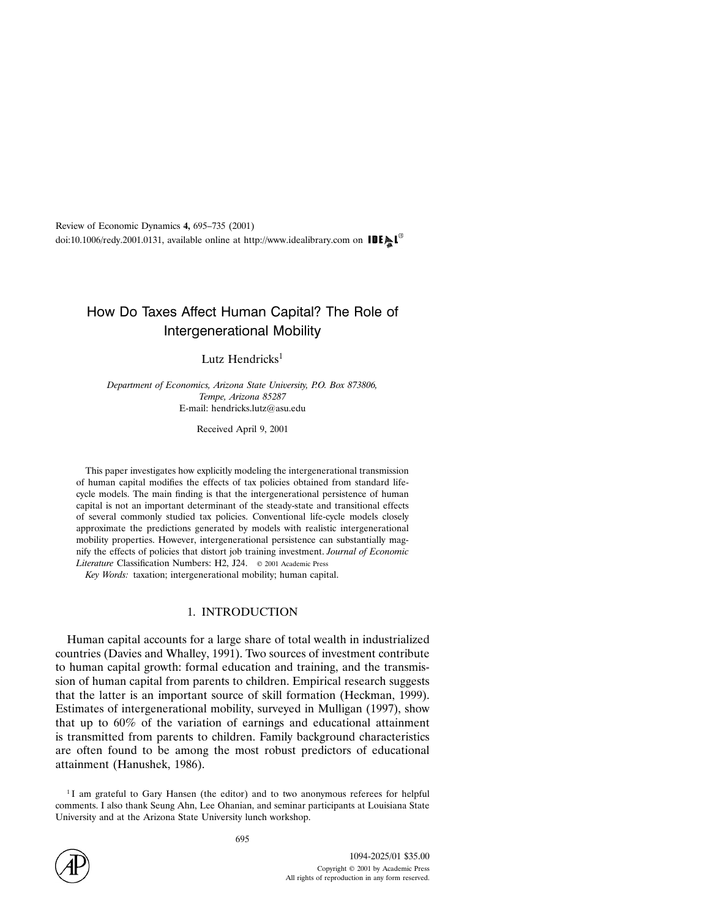## How Do Taxes Affect Human Capital? The Role of Intergenerational Mobility

Lutz Hendricks<sup>1</sup>

Department of Economics, Arizona State University, P.O. Box 873806, Tempe, Arizona 85287 E-mail: hendricks.lutz@asu.edu

Received April 9, 2001

This paper investigates how explicitly modeling the intergenerational transmission of human capital modifies the effects of tax policies obtained from standard lifecycle models. The main finding is that the intergenerational persistence of human capital is not an important determinant of the steady-state and transitional effects of several commonly studied tax policies. Conventional life-cycle models closely approximate the predictions generated by models with realistic intergenerational mobility properties. However, intergenerational persistence can substantially magnify the effects of policies that distort job training investment. Journal of Economic Literature Classification Numbers: H2, J24. © 2001 Academic Press

Key Words: taxation; intergenerational mobility; human capital.

## 1. INTRODUCTION

Human capital accounts for a large share of total wealth in industrialized countries (Davies and Whalley,1991). Two sources of investment contribute to human capital growth: formal education and training, and the transmission of human capital from parents to children. Empirical research suggests that the latter is an important source of skill formation (Heckman,1999). Estimates of intergenerational mobility, surveyed in Mulligan (1997), show that up to 60% of the variation of earnings and educational attainment is transmitted from parents to children. Family background characteristics are often found to be among the most robust predictors of educational attainment (Hanushek,1986).

<sup>1</sup>I am grateful to Gary Hansen (the editor) and to two anonymous referees for helpful comments. I also thank Seung Ahn, Lee Ohanian, and seminar participants at Louisiana State University and at the Arizona State University lunch workshop.

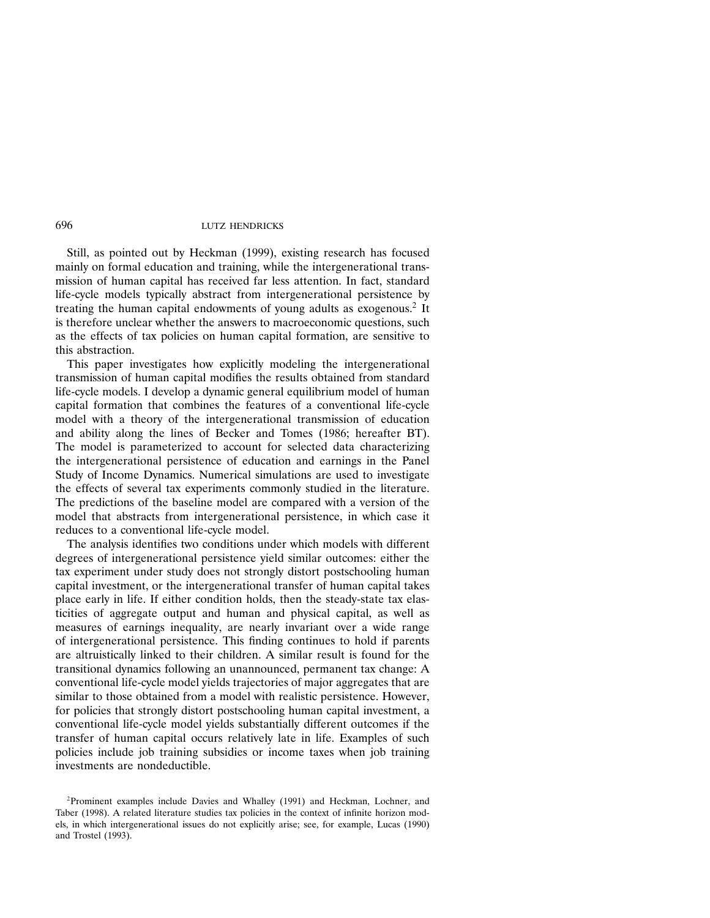Still, as pointed out by Heckman (1999), existing research has focused mainly on formal education and training,while the intergenerational transmission of human capital has received far less attention. In fact, standard life-cycle models typically abstract from intergenerational persistence by treating the human capital endowments of young adults as exogenous.2 It is therefore unclear whether the answers to macroeconomic questions, such as the effects of tax policies on human capital formation, are sensitive to this abstraction.

This paper investigates how explicitly modeling the intergenerational transmission of human capital modifies the results obtained from standard life-cycle models. I develop a dynamic general equilibrium model of human capital formation that combines the features of a conventional life-cycle model with a theory of the intergenerational transmission of education and ability along the lines of Becker and Tomes (1986; hereafter BT). The model is parameterized to account for selected data characterizing the intergenerational persistence of education and earnings in the Panel Study of Income Dynamics. Numerical simulations are used to investigate the effects of several tax experiments commonly studied in the literature. The predictions of the baseline model are compared with a version of the model that abstracts from intergenerational persistence, in which case it reduces to a conventional life-cycle model.

The analysis identifies two conditions under which models with different degrees of intergenerational persistence yield similar outcomes: either the tax experiment under study does not strongly distort postschooling human capital investment, or the intergenerational transfer of human capital takes place early in life. If either condition holds, then the steady-state tax elasticities of aggregate output and human and physical capital,as well as measures of earnings inequality, are nearly invariant over a wide range of intergenerational persistence. This finding continues to hold if parents are altruistically linked to their children. A similar result is found for the transitional dynamics following an unannounced, permanent tax change: A conventional life-cycle model yields trajectories of major aggregates that are similar to those obtained from a model with realistic persistence. However, for policies that strongly distort postschooling human capital investment, a conventional life-cycle model yields substantially different outcomes if the transfer of human capital occurs relatively late in life. Examples of such policies include job training subsidies or income taxes when job training investments are nondeductible.

<sup>&</sup>lt;sup>2</sup>Prominent examples include Davies and Whalley (1991) and Heckman, Lochner, and Taber (1998). A related literature studies tax policies in the context of infinite horizon models, in which intergenerational issues do not explicitly arise; see, for example, Lucas (1990) and Trostel (1993).